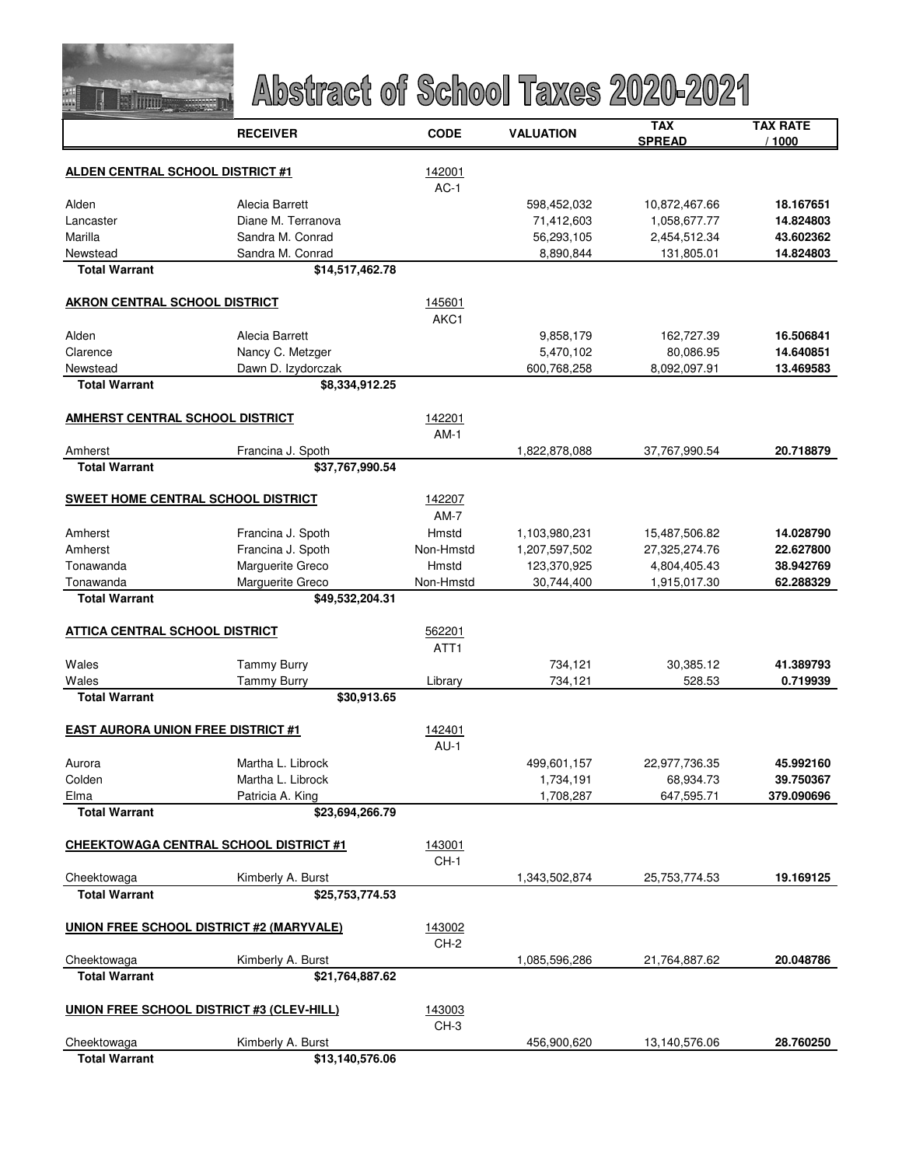

|                                                 | <b>RECEIVER</b>    | <b>CODE</b>      | <b>VALUATION</b> | <b>TAX</b><br><b>SPREAD</b> | <b>TAX RATE</b><br>/ 1000 |
|-------------------------------------------------|--------------------|------------------|------------------|-----------------------------|---------------------------|
|                                                 |                    |                  |                  |                             |                           |
| <b>ALDEN CENTRAL SCHOOL DISTRICT #1</b>         |                    | 142001<br>$AC-1$ |                  |                             |                           |
| Alden                                           | Alecia Barrett     |                  | 598,452,032      | 10,872,467.66               | 18.167651                 |
| Lancaster                                       | Diane M. Terranova |                  | 71,412,603       | 1,058,677.77                | 14.824803                 |
| Marilla                                         | Sandra M. Conrad   |                  | 56,293,105       | 2,454,512.34                | 43.602362                 |
| Newstead                                        | Sandra M. Conrad   |                  | 8,890,844        | 131,805.01                  | 14.824803                 |
| <b>Total Warrant</b>                            | \$14,517,462.78    |                  |                  |                             |                           |
| <b>AKRON CENTRAL SCHOOL DISTRICT</b>            |                    | 145601           |                  |                             |                           |
|                                                 |                    | AKC1             |                  |                             |                           |
| Alden                                           | Alecia Barrett     |                  | 9,858,179        | 162,727.39                  | 16.506841                 |
| Clarence                                        | Nancy C. Metzger   |                  | 5,470,102        | 80,086.95                   | 14.640851                 |
| Newstead                                        | Dawn D. Izydorczak |                  | 600,768,258      | 8,092,097.91                | 13.469583                 |
| <b>Total Warrant</b>                            | \$8,334,912.25     |                  |                  |                             |                           |
| <b>AMHERST CENTRAL SCHOOL DISTRICT</b>          |                    | 142201           |                  |                             |                           |
|                                                 |                    | $AM-1$           |                  |                             |                           |
| Amherst                                         | Francina J. Spoth  |                  | 1,822,878,088    | 37,767,990.54               | 20.718879                 |
| <b>Total Warrant</b>                            | \$37,767,990.54    |                  |                  |                             |                           |
| <b>SWEET HOME CENTRAL SCHOOL DISTRICT</b>       |                    | 142207           |                  |                             |                           |
|                                                 |                    | $AM-7$           |                  |                             |                           |
| Amherst                                         | Francina J. Spoth  | Hmstd            | 1,103,980,231    | 15,487,506.82               | 14.028790                 |
| Amherst                                         | Francina J. Spoth  | Non-Hmstd        | 1,207,597,502    | 27,325,274.76               | 22.627800                 |
| Tonawanda                                       | Marguerite Greco   | Hmstd            | 123,370,925      | 4,804,405.43                | 38.942769                 |
| Tonawanda                                       | Marguerite Greco   | Non-Hmstd        | 30,744,400       | 1,915,017.30                | 62.288329                 |
| <b>Total Warrant</b>                            | \$49,532,204.31    |                  |                  |                             |                           |
| <b>ATTICA CENTRAL SCHOOL DISTRICT</b>           |                    | 562201           |                  |                             |                           |
|                                                 |                    | ATT1             |                  |                             |                           |
| Wales                                           | <b>Tammy Burry</b> |                  | 734,121          | 30,385.12                   | 41.389793                 |
| Wales                                           | <b>Tammy Burry</b> | Library          | 734,121          | 528.53                      | 0.719939                  |
| <b>Total Warrant</b>                            | \$30,913.65        |                  |                  |                             |                           |
| <b>EAST AURORA UNION FREE DISTRICT #1</b>       |                    | 142401           |                  |                             |                           |
|                                                 |                    | $AU-1$           |                  |                             |                           |
| Aurora                                          | Martha L. Librock  |                  | 499,601,157      | 22,977,736.35               | 45.992160                 |
| Colden                                          | Martha L. Librock  |                  | 1,734,191        | 68,934.73                   | 39.750367                 |
| Elma                                            | Patricia A. King   |                  | 1,708,287        | 647,595.71                  | 379.090696                |
| <b>Total Warrant</b>                            | \$23,694,266.79    |                  |                  |                             |                           |
| <b>CHEEKTOWAGA CENTRAL SCHOOL DISTRICT #1</b>   |                    | 143001           |                  |                             |                           |
|                                                 |                    | CH-1             |                  |                             |                           |
| Cheektowaga                                     | Kimberly A. Burst  |                  | 1,343,502,874    | 25,753,774.53               | 19.169125                 |
| <b>Total Warrant</b>                            | \$25,753,774.53    |                  |                  |                             |                           |
| <b>UNION FREE SCHOOL DISTRICT #2 (MARYVALE)</b> |                    | 143002           |                  |                             |                           |
|                                                 |                    | CH-2             |                  |                             |                           |
| Cheektowaga                                     | Kimberly A. Burst  |                  | 1,085,596,286    | 21,764,887.62               | 20.048786                 |
| <b>Total Warrant</b>                            | \$21,764,887.62    |                  |                  |                             |                           |
|                                                 |                    |                  |                  |                             |                           |
| UNION FREE SCHOOL DISTRICT #3 (CLEV-HILL)       |                    | 143003<br>$CH-3$ |                  |                             |                           |
| Cheektowaga                                     | Kimberly A. Burst  |                  | 456,900,620      | 13,140,576.06               | 28.760250                 |
| <b>Total Warrant</b>                            | \$13,140,576.06    |                  |                  |                             |                           |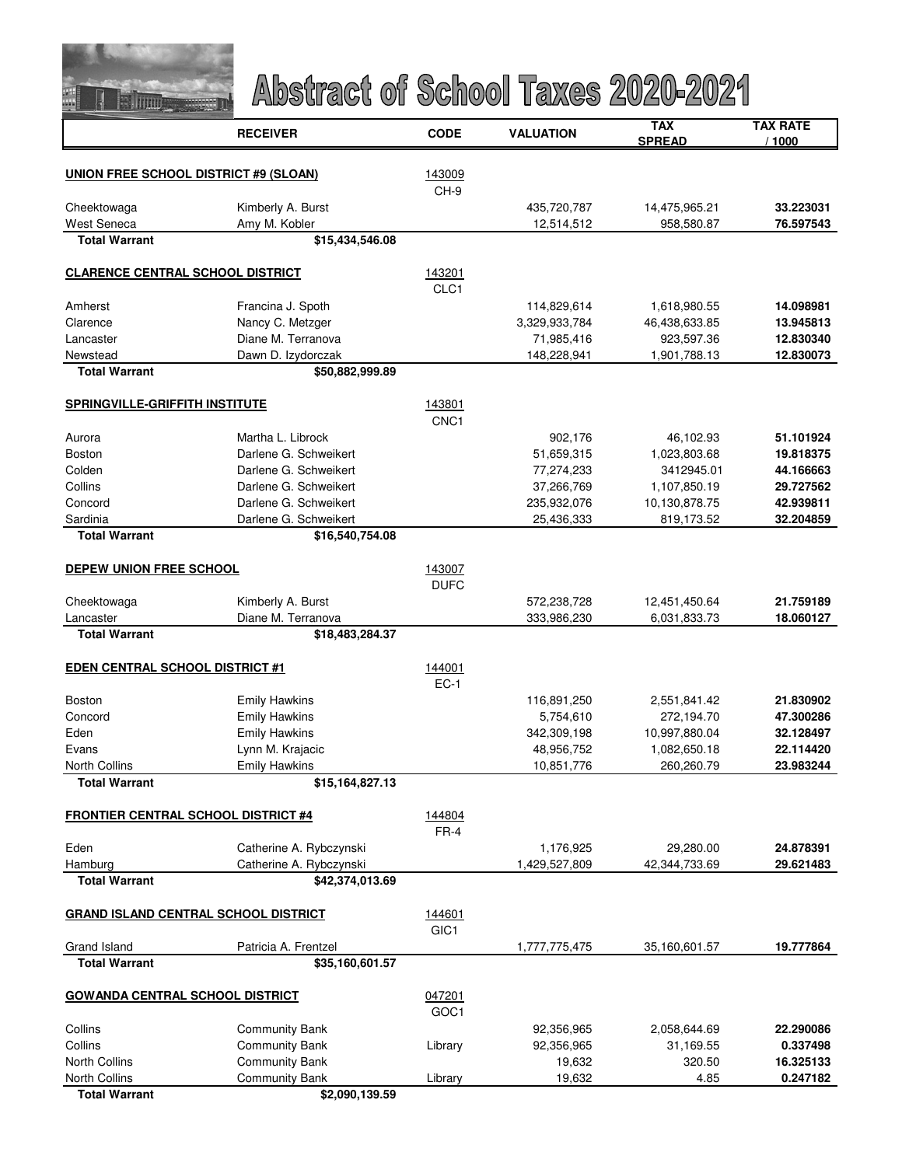

|                                              | <b>RECEIVER</b>                    | <b>CODE</b>      | <b>VALUATION</b>          | TAX<br><b>SPREAD</b> | TAX RATE<br>/ 1000 |
|----------------------------------------------|------------------------------------|------------------|---------------------------|----------------------|--------------------|
|                                              |                                    |                  |                           |                      |                    |
| <b>UNION FREE SCHOOL DISTRICT #9 (SLOAN)</b> |                                    | 143009           |                           |                      |                    |
|                                              |                                    | CH-9             |                           | 14,475,965.21        | 33.223031          |
| Cheektowaga<br>West Seneca                   | Kimberly A. Burst<br>Amy M. Kobler |                  | 435,720,787<br>12,514,512 | 958,580.87           | 76.597543          |
| <b>Total Warrant</b>                         | \$15,434,546.08                    |                  |                           |                      |                    |
| <b>CLARENCE CENTRAL SCHOOL DISTRICT</b>      |                                    | 143201           |                           |                      |                    |
|                                              |                                    | CLC1             |                           |                      |                    |
| Amherst                                      | Francina J. Spoth                  |                  | 114,829,614               | 1,618,980.55         | 14.098981          |
| Clarence                                     | Nancy C. Metzger                   |                  | 3,329,933,784             | 46,438,633.85        | 13.945813          |
| Lancaster                                    | Diane M. Terranova                 |                  | 71,985,416                | 923,597.36           | 12.830340          |
| Newstead                                     | Dawn D. Izydorczak                 |                  | 148,228,941               | 1,901,788.13         | 12.830073          |
| <b>Total Warrant</b>                         | \$50,882,999.89                    |                  |                           |                      |                    |
| <b>SPRINGVILLE-GRIFFITH INSTITUTE</b>        |                                    | 143801           |                           |                      |                    |
|                                              |                                    | CNC <sub>1</sub> |                           |                      |                    |
| Aurora                                       | Martha L. Librock                  |                  | 902,176                   | 46,102.93            | 51.101924          |
| Boston                                       | Darlene G. Schweikert              |                  | 51,659,315                | 1,023,803.68         | 19.818375          |
| Colden                                       | Darlene G. Schweikert              |                  | 77,274,233                | 3412945.01           | 44.166663          |
| Collins                                      | Darlene G. Schweikert              |                  | 37,266,769                | 1,107,850.19         | 29.727562          |
| Concord                                      | Darlene G. Schweikert              |                  | 235,932,076               | 10,130,878.75        | 42.939811          |
| Sardinia                                     | Darlene G. Schweikert              |                  | 25,436,333                | 819,173.52           | 32.204859          |
| <b>Total Warrant</b>                         | \$16,540,754.08                    |                  |                           |                      |                    |
| <b>DEPEW UNION FREE SCHOOL</b>               |                                    | 143007           |                           |                      |                    |
|                                              |                                    | <b>DUFC</b>      |                           |                      |                    |
| Cheektowaga                                  | Kimberly A. Burst                  |                  | 572,238,728               | 12,451,450.64        | 21.759189          |
| Lancaster                                    | Diane M. Terranova                 |                  | 333,986,230               | 6,031,833.73         | 18.060127          |
| <b>Total Warrant</b>                         | \$18,483,284.37                    |                  |                           |                      |                    |
| <b>EDEN CENTRAL SCHOOL DISTRICT #1</b>       |                                    | 144001           |                           |                      |                    |
|                                              |                                    | $EC-1$           |                           |                      |                    |
| Boston                                       | <b>Emily Hawkins</b>               |                  | 116,891,250               | 2,551,841.42         | 21.830902          |
| Concord                                      | <b>Emily Hawkins</b>               |                  | 5,754,610                 | 272,194.70           | 47.300286          |
| Eden                                         | <b>Emily Hawkins</b>               |                  | 342,309,198               | 10,997,880.04        | 32.128497          |
| Evans                                        | Lynn M. Krajacic                   |                  | 48,956,752                | 1,082,650.18         | 22.114420          |
| <b>North Collins</b>                         | <b>Emily Hawkins</b>               |                  | 10,851,776                | 260,260.79           | 23.983244          |
| <b>Total Warrant</b>                         | \$15,164,827.13                    |                  |                           |                      |                    |
| <b>FRONTIER CENTRAL SCHOOL DISTRICT #4</b>   |                                    | 144804           |                           |                      |                    |
|                                              |                                    | $FR-4$           |                           |                      |                    |
| Eden                                         | Catherine A. Rybczynski            |                  | 1,176,925                 | 29,280.00            | 24.878391          |
| Hamburg                                      | Catherine A. Rybczynski            |                  | 1,429,527,809             | 42,344,733.69        | 29.621483          |
| <b>Total Warrant</b>                         | \$42,374,013.69                    |                  |                           |                      |                    |
| <b>GRAND ISLAND CENTRAL SCHOOL DISTRICT</b>  |                                    | 144601           |                           |                      |                    |
|                                              |                                    | GIC <sub>1</sub> |                           |                      |                    |
| Grand Island                                 | Patricia A. Frentzel               |                  | 1,777,775,475             | 35,160,601.57        | 19.777864          |
| <b>Total Warrant</b>                         | \$35,160,601.57                    |                  |                           |                      |                    |
| <b>GOWANDA CENTRAL SCHOOL DISTRICT</b>       |                                    | 047201           |                           |                      |                    |
|                                              |                                    | GOC1             |                           |                      |                    |
| Collins                                      | <b>Community Bank</b>              |                  | 92,356,965                | 2,058,644.69         | 22.290086          |
| Collins                                      | <b>Community Bank</b>              | Library          | 92,356,965                | 31,169.55            | 0.337498           |
| <b>North Collins</b>                         | <b>Community Bank</b>              |                  | 19,632                    | 320.50               | 16.325133          |
| <b>North Collins</b>                         | <b>Community Bank</b>              | Library          | 19,632                    | 4.85                 | 0.247182           |
| <b>Total Warrant</b>                         | \$2,090,139.59                     |                  |                           |                      |                    |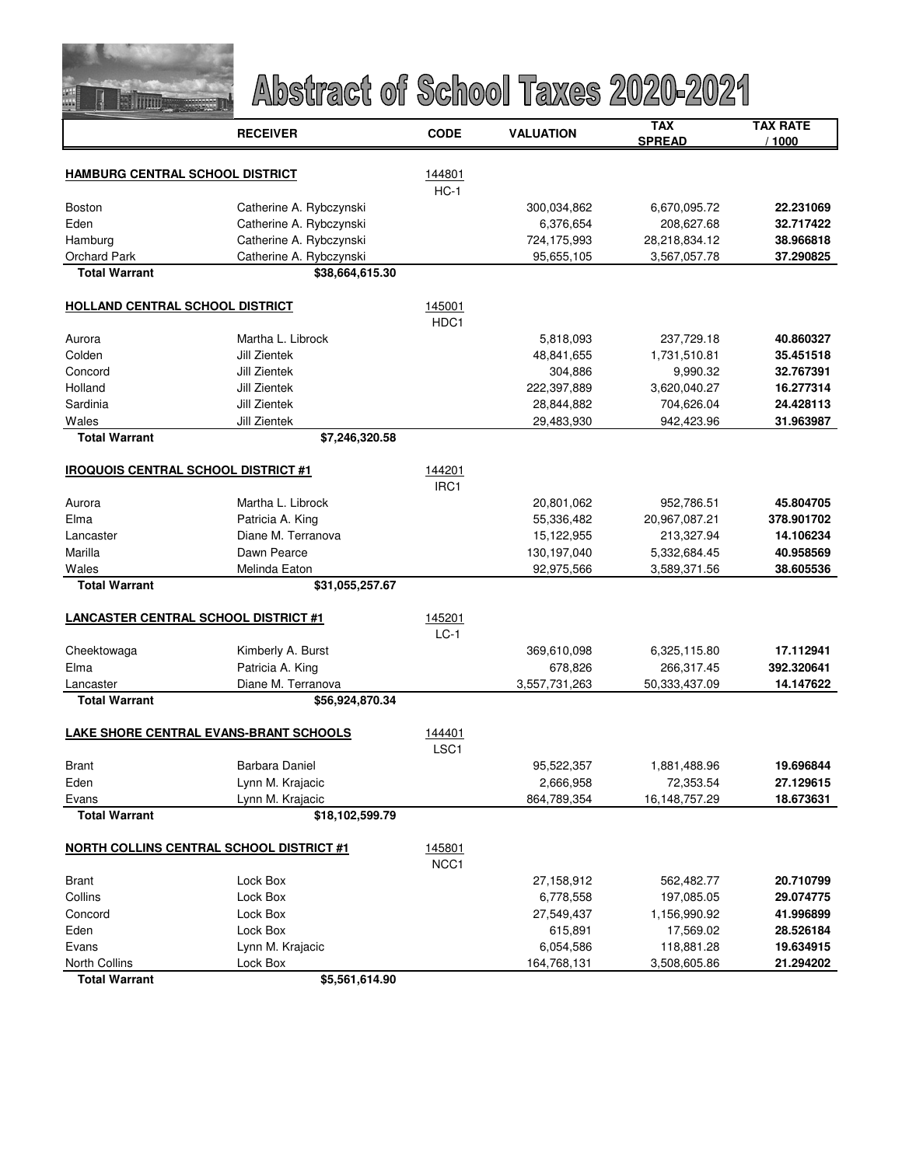

|                                             | <b>RECEIVER</b>                                 | <b>CODE</b>      | <b>VALUATION</b>         | TAX                       | <b>TAX RATE</b> |
|---------------------------------------------|-------------------------------------------------|------------------|--------------------------|---------------------------|-----------------|
|                                             |                                                 |                  |                          | <b>SPREAD</b>             | / 1000          |
| <b>HAMBURG CENTRAL SCHOOL DISTRICT</b>      |                                                 |                  |                          |                           |                 |
|                                             |                                                 | 144801<br>$HC-1$ |                          |                           |                 |
| Boston                                      | Catherine A. Rybczynski                         |                  | 300,034,862              | 6,670,095.72              | 22.231069       |
| Eden                                        | Catherine A. Rybczynski                         |                  | 6,376,654                | 208,627.68                | 32.717422       |
| Hamburg                                     | Catherine A. Rybczynski                         |                  | 724,175,993              | 28,218,834.12             | 38.966818       |
| <b>Orchard Park</b>                         | Catherine A. Rybczynski                         |                  | 95,655,105               | 3,567,057.78              | 37.290825       |
| <b>Total Warrant</b>                        | \$38,664,615.30                                 |                  |                          |                           |                 |
|                                             |                                                 |                  |                          |                           |                 |
| <b>HOLLAND CENTRAL SCHOOL DISTRICT</b>      |                                                 | 145001           |                          |                           |                 |
|                                             |                                                 | HDC1             |                          |                           |                 |
| Aurora                                      | Martha L. Librock                               |                  | 5,818,093                | 237,729.18                | 40.860327       |
| Colden                                      | Jill Zientek                                    |                  | 48,841,655               | 1,731,510.81              | 35.451518       |
| Concord                                     | Jill Zientek                                    |                  | 304,886                  | 9,990.32                  | 32.767391       |
| Holland                                     | <b>Jill Zientek</b>                             |                  | 222,397,889              | 3,620,040.27              | 16.277314       |
| Sardinia                                    | <b>Jill Zientek</b>                             |                  | 28,844,882               | 704,626.04                | 24.428113       |
| Wales                                       | Jill Zientek                                    |                  | 29,483,930               | 942,423.96                | 31.963987       |
| <b>Total Warrant</b>                        | \$7,246,320.58                                  |                  |                          |                           |                 |
| <b>IROQUOIS CENTRAL SCHOOL DISTRICT #1</b>  |                                                 |                  |                          |                           |                 |
|                                             |                                                 | 144201<br>IRC1   |                          |                           |                 |
| Aurora                                      | Martha L. Librock                               |                  | 20,801,062               | 952,786.51                | 45.804705       |
| Elma                                        | Patricia A. King                                |                  | 55,336,482               | 20,967,087.21             | 378.901702      |
| Lancaster                                   | Diane M. Terranova                              |                  | 15,122,955               | 213,327.94                | 14.106234       |
| Marilla                                     | Dawn Pearce                                     |                  | 130,197,040              | 5,332,684.45              | 40.958569       |
| Wales                                       | Melinda Eaton                                   |                  | 92,975,566               | 3,589,371.56              | 38.605536       |
| <b>Total Warrant</b>                        | \$31,055,257.67                                 |                  |                          |                           |                 |
|                                             |                                                 |                  |                          |                           |                 |
| <b>LANCASTER CENTRAL SCHOOL DISTRICT #1</b> |                                                 | 145201           |                          |                           |                 |
|                                             |                                                 | $LC-1$           |                          |                           |                 |
| Cheektowaga                                 | Kimberly A. Burst                               |                  | 369,610,098              | 6,325,115.80              | 17.112941       |
| Elma                                        | Patricia A. King                                |                  | 678,826                  | 266,317.45                | 392.320641      |
| Lancaster                                   | Diane M. Terranova                              |                  | 3,557,731,263            | 50,333,437.09             | 14.147622       |
| <b>Total Warrant</b>                        | \$56,924,870.34                                 |                  |                          |                           |                 |
|                                             |                                                 |                  |                          |                           |                 |
|                                             | <b>LAKE SHORE CENTRAL EVANS-BRANT SCHOOLS</b>   | 144401           |                          |                           |                 |
| <b>Brant</b>                                | Barbara Daniel                                  | LSC <sub>1</sub> |                          |                           | 19.696844       |
| Eden                                        |                                                 |                  | 95,522,357               | 1,881,488.96<br>72,353.54 | 27.129615       |
|                                             | Lynn M. Krajacic                                |                  | 2,666,958<br>864,789,354 |                           | 18.673631       |
| Evans<br><b>Total Warrant</b>               | Lynn M. Krajacic<br>\$18,102,599.79             |                  |                          | 16,148,757.29             |                 |
|                                             |                                                 |                  |                          |                           |                 |
|                                             | <b>NORTH COLLINS CENTRAL SCHOOL DISTRICT #1</b> | 145801           |                          |                           |                 |
|                                             |                                                 | NCC1             |                          |                           |                 |
| Brant                                       | Lock Box                                        |                  | 27,158,912               | 562,482.77                | 20.710799       |
| Collins                                     | Lock Box                                        |                  | 6,778,558                | 197,085.05                | 29.074775       |
| Concord                                     | Lock Box                                        |                  | 27,549,437               | 1,156,990.92              | 41.996899       |
| Eden                                        | Lock Box                                        |                  | 615,891                  | 17,569.02                 | 28.526184       |
| Evans                                       | Lynn M. Krajacic                                |                  | 6,054,586                | 118,881.28                | 19.634915       |
| <b>North Collins</b>                        | Lock Box                                        |                  | 164,768,131              | 3,508,605.86              | 21.294202       |
| <b>Total Warrant</b>                        | \$5.561.614.90                                  |                  |                          |                           |                 |